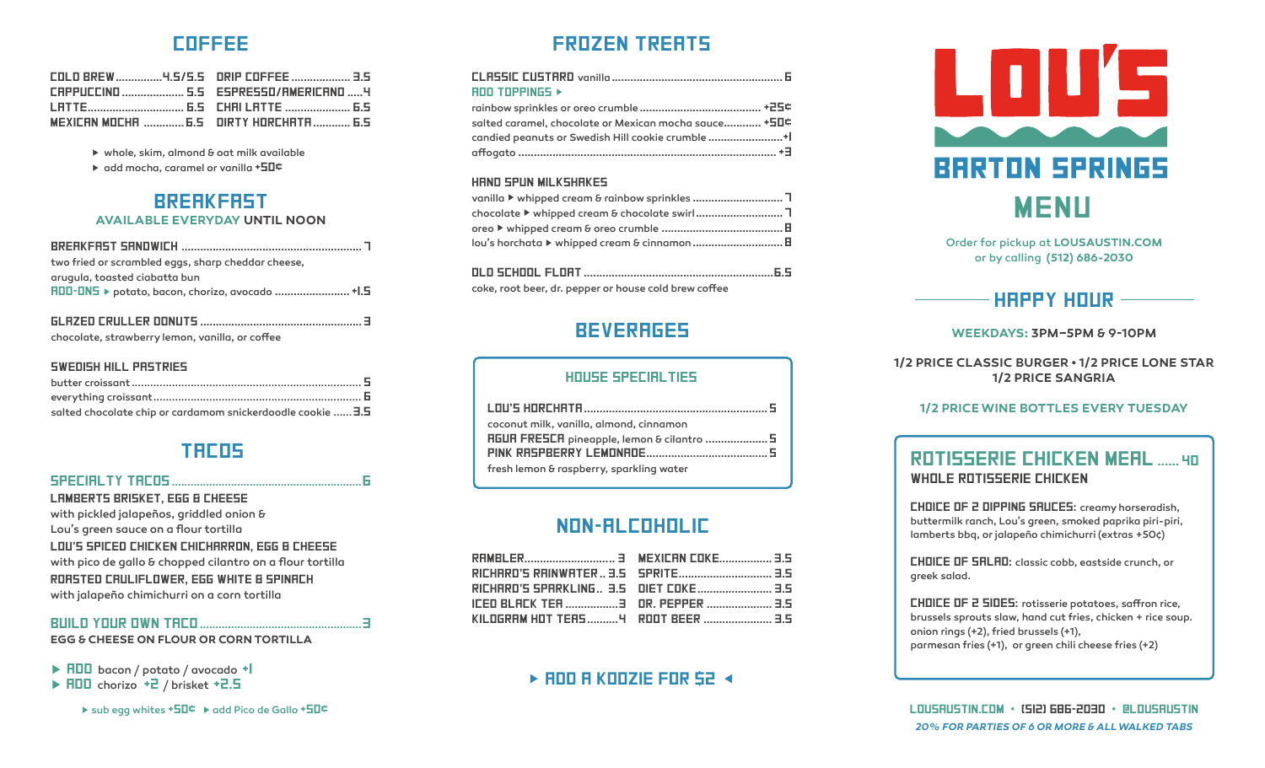# **COFFEE**

| CAPPUCCINO  5.5     ESPRESSO/AMERICANO 4 |                                               |
|------------------------------------------|-----------------------------------------------|
|                                          |                                               |
|                                          | <b>MEXICAN MOCHA  6.5 DIRTY HORCHATA  6.5</b> |

 $\blacktriangleright$  whole, skim, almond & oat milk available

 $\triangleright$  add mocha, caramel or vanilla  $\pm$ 50 $\pm$ 

# **BREAKFAST**

#### **AVAILABLE EVERYDAY UNTIL NOON**

| two fried or scrambled eggs, sharp cheddar cheese, |  |
|----------------------------------------------------|--|
| arugula, toasted ciabatta bun                      |  |
| FIDD-DNS ▶ potato, bacon, chorizo, avocado  +1.5   |  |
|                                                    |  |

| chocolate, strawberry lemon, vanilla, or coffee |
|-------------------------------------------------|

#### SWEDISH HILL PRSTRIES

| salted chocolate chip or cardamom snickerdoodle cookie  3.5 |  |
|-------------------------------------------------------------|--|

### **TREDS**

### 

**LAMBERTS BRISKET. EGG B CHEESE** with pickled jalapeños, griddled onion & Lou's green sauce on a flour tortilla LOU'S SPICED CHICKEN CHICHARRON, EGG & CHEESE with pico de gallo & chopped cilantro on a flour tortilla RORSTED CRULIFLOWER, EGG WHITE & SPINRCH with jalapeño chimichurri on a corn tortilla

### 

**EGG & CHEESE ON FLOUR OR CORN TORTILLA** 

▶ **HDD** bacon / potato / avocado +

> RDD chorizo +2 / brisket +2.5

▶ sub egg whites +50 + add Pico de Gallo +50 =

# **FROZEN TREATS**

| <b>ROD TOPPINGS ▶</b>                                 |  |
|-------------------------------------------------------|--|
|                                                       |  |
| salted caramel, chocolate or Mexican mocha sauce +50¢ |  |
| candied peanuts or Swedish Hill cookie crumble +      |  |
|                                                       |  |

#### HAND SPUN MILKSHAKES

| lou's horchata ▶ whipped cream & cinnamon <b>H</b> |  |
|----------------------------------------------------|--|

| coke, root beer, dr. pepper or house cold brew coffee |  |
|-------------------------------------------------------|--|

## **BEVERRGES**

#### HOUSE SPECIALTIES

| coconut milk, vanilla, almond, cinnamon          |
|--------------------------------------------------|
| <b>RGUR FRESCR</b> pineapple, lemon & cilantro 5 |
|                                                  |
| fresh lemon & raspberry, sparkling water         |

# **NON-ALCOHOLIC**

| KILOGRAM HOT TEAS4 ROOT BEER  3.5 |  |
|-----------------------------------|--|

### $\triangleright$  RDD R KODZIE FOR S2  $\triangleleft$



Order for pickup at LOUSAUSTIN.COM or by calling (512) 686-2030

### - HAPPY HOUR -

#### **WEEKDAYS: 3PM-5PM & 9-10PM**

1/2 PRICE CLASSIC BURGER . 1/2 PRICE LONE STAR **1/2 PRICE SANGRIA** 

#### **1/2 PRICE WINE BOTTLES EVERY TUESDAY**

### **ROTISSERIE CHICKEN MERL ...... 40 WHOLE ROTISSERIE CHICKEN**

**CHOICE OF 2 DIPPING SRUCES:** creamy horseradish, buttermilk ranch, Lou's green, smoked paprika piri-piri, lamberts bbq, or jalapeño chimichurri (extras +50¢)

**CHOICE OF SRLRD:** classic cobb, eastside crunch, or greek salad.

**CHOICE OF 2 SIDES:** rotisserie potatoes, saffron rice, brussels sprouts slaw, hand cut fries, chicken + rice soup. onion rings (+2), fried brussels (+1), parmesan fries (+1), or green chili cheese fries (+2)